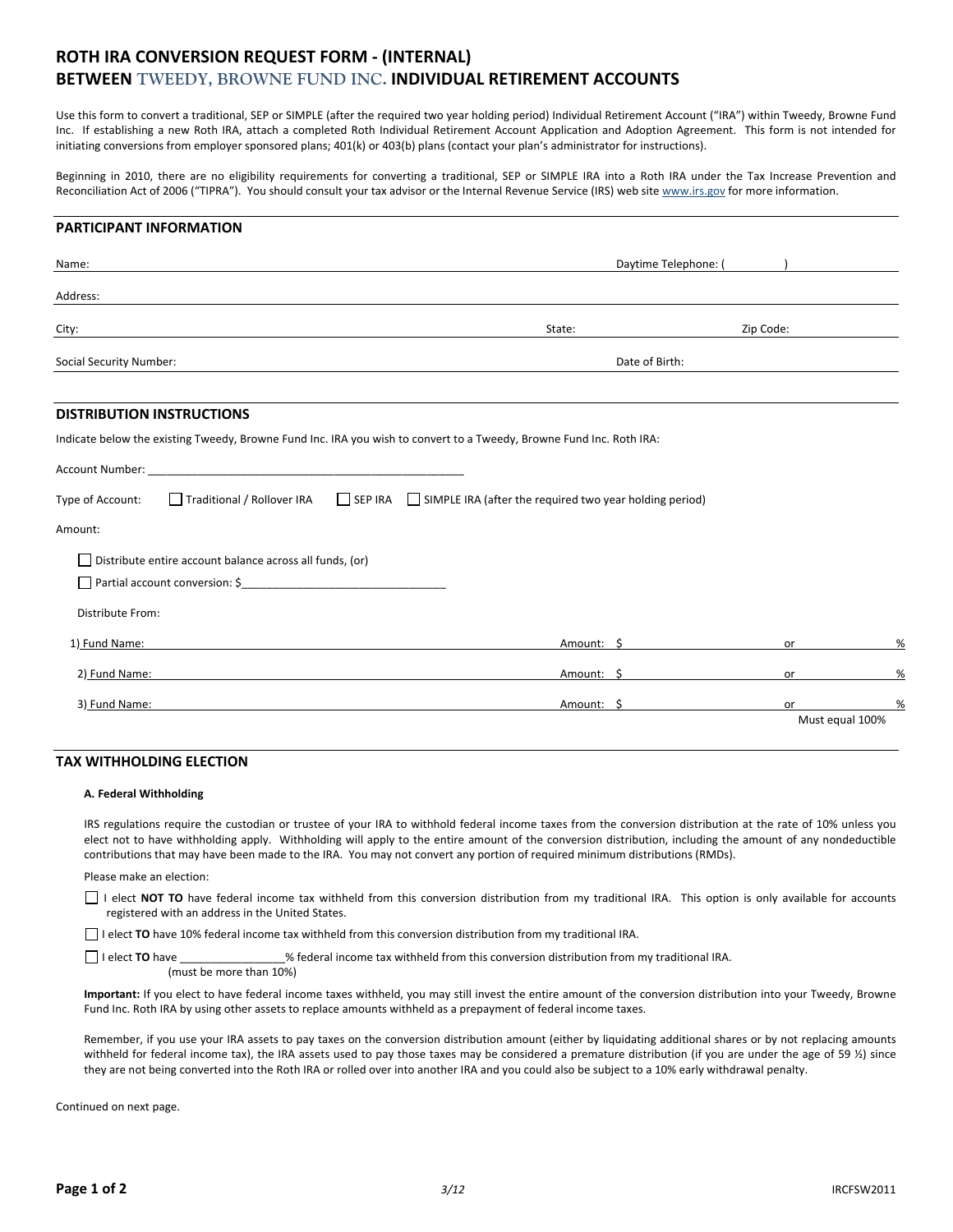# **ROTH IRA CONVERSION REQUEST FORM ‐ (INTERNAL) BETWEEN TWEEDY, BROWNE FUND INC. INDIVIDUAL RETIREMENT ACCOUNTS**

Use this form to convert a traditional, SEP or SIMPLE (after the required two year holding period) Individual Retirement Account ("IRA") within Tweedy, Browne Fund Inc. If establishing a new Roth IRA, attach a completed Roth Individual Retirement Account Application and Adoption Agreement. This form is not intended for initiating conversions from employer sponsored plans; 401(k) or 403(b) plans (contact your plan's administrator for instructions).

Beginning in 2010, there are no eligibility requirements for converting a traditional, SEP or SIMPLE IRA into a Roth IRA under the Tax Increase Prevention and Reconciliation Act of 2006 ("TIPRA"). You should consult your tax advisor or the Internal Revenue Service (IRS) web site www.irs.gov for more information.

#### **PARTICIPANT INFORMATION**

| Name:                                                                                                                |                                                                                                  | Daytime Telephone: ( |                 |
|----------------------------------------------------------------------------------------------------------------------|--------------------------------------------------------------------------------------------------|----------------------|-----------------|
| Address:                                                                                                             |                                                                                                  |                      |                 |
| City:                                                                                                                | State:                                                                                           | Zip Code:            |                 |
| Social Security Number:                                                                                              | Date of Birth:                                                                                   |                      |                 |
| <b>DISTRIBUTION INSTRUCTIONS</b>                                                                                     |                                                                                                  |                      |                 |
| Indicate below the existing Tweedy, Browne Fund Inc. IRA you wish to convert to a Tweedy, Browne Fund Inc. Roth IRA: |                                                                                                  |                      |                 |
| Account Number: National Account Number:                                                                             |                                                                                                  |                      |                 |
| Type of Account:                                                                                                     | □ Traditional / Rollover IRA □ SEP IRA □ SIMPLE IRA (after the required two year holding period) |                      |                 |
| Amount:                                                                                                              |                                                                                                  |                      |                 |
| Distribute entire account balance across all funds, (or)                                                             |                                                                                                  |                      |                 |
|                                                                                                                      |                                                                                                  |                      |                 |
| Distribute From:                                                                                                     |                                                                                                  |                      |                 |
| 1) Fund Name:                                                                                                        | Amount: \$                                                                                       | or                   | %               |
| 2) Fund Name:                                                                                                        | Amount: \$                                                                                       | or                   | %               |
| 3) Fund Name:                                                                                                        | Amount: \$                                                                                       | or                   | %               |
|                                                                                                                      |                                                                                                  |                      | Must equal 100% |

#### **TAX WITHHOLDING ELECTION**

#### **A. Federal Withholding**

IRS regulations require the custodian or trustee of your IRA to withhold federal income taxes from the conversion distribution at the rate of 10% unless you elect not to have withholding apply. Withholding will apply to the entire amount of the conversion distribution, including the amount of any nondeductible contributions that may have been made to the IRA. You may not convert any portion of required minimum distributions (RMDs).

Please make an election:

I elect **NOT TO** have federal income tax withheld from this conversion distribution from my traditional IRA. This option is only available for accounts registered with an address in the United States.

I elect **TO** have 10% federal income tax withheld from this conversion distribution from my traditional IRA.

I elect **TO** have *S* federal income tax withheld from this conversion distribution from my traditional IRA. (must be more than 10%)

**Important:** If you elect to have federal income taxes withheld, you may still invest the entire amount of the conversion distribution into your Tweedy, Browne Fund Inc. Roth IRA by using other assets to replace amounts withheld as a prepayment of federal income taxes.

Remember, if you use your IRA assets to pay taxes on the conversion distribution amount (either by liquidating additional shares or by not replacing amounts withheld for federal income tax), the IRA assets used to pay those taxes may be considered a premature distribution (if you are under the age of 59 %) since they are not being converted into the Roth IRA or rolled over into another IRA and you could also be subject to a 10% early withdrawal penalty.

Continued on next page.